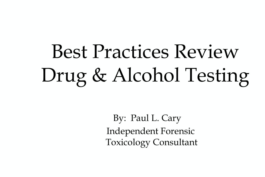# Best Practices Review Drug & Alcohol Testing

By: Paul L. Cary Independent Forensic Toxicology Consultant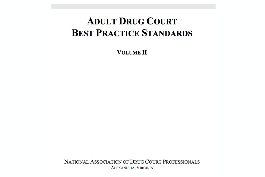#### **ADULT DRUG COURT BEST PRACTICE STANDARDS**

**VOLUME II** 

NATIONAL ASSOCIATION OF DRUG COURT PROFESSIONALS ALEXANDRIA, VIRGINIA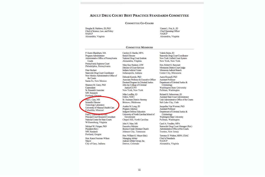#### ADULT DRUG COURT BEST PRACTICE STANDARDS COMMITTEE

#### **COMMITTEE CO-CHAIRS**

Douglas B. Marlowe, JD, PhD Chief of Science, Law, and Policy **NADCP** Alexandria, Virginia

Carson L. Fox, Jr., JD **Chief Operating Officer NADCP** Alexandria, Virginia

#### **COMMITTEE MEMBERS**

P. Karen Blackburn, MA Program Administrator Administrative Office of Pennsylvania Courts

Pennsylvania Supreme Court Philadelphia, Pennsylvania

Peter Bochert Statewide Drug Court Coordinator New Mexico Administrative Office of the Courts Santa Fe, New Mexico

Shannon M. Carey, PhD Copresident Sr. Research Associate NPC Research

Portland, Oregon Paul L. Cary, MS **Scientific Director Toxicology Laboratory** University of Missouri Health Care Columbia, Missouri

Fred L. Checomargraph D Principal Court Research Consultant National Center for State Courts Williamsburg, Virginia

Michael W. Finigan, PhD President (Ret.) NPC Research Portland, Oregon

Hon. Karen Freeman-Wilson Mayor City of Gary, Indiana

Carolyn D. Hardin, MPA Senior Director National Drug Court Institute Alexandria, Virginia

Mary Kay Hudson, LSW Director of Court Services Indiana Judicial Center Indianapolis, Indiana

Deborah Koetzle, PhD Associate Professor & Executive Officer Doctoral Program in Criminal Justice John Jay College of Criminal Justice/CUNY New York, New York

Mike Loeffler, JD Fellow, NDCI Sr. Assistant District Attorney Bristow, Oklahoma

Austine M. Long, JD Program Attorney **Indigent Defense Education** University of North Carolina School of Government Chapel Hill, North Carolina

John N. Marr, MS **Executive Minister** Boones Creek Christian Church Johnson City, Tennessee

Hon. William G. Meyer (Ret.) Managing Arbiter Judicial Arbiter Group, Inc. Denver, Colorado

Valerie Raine, JD Statewide Drug Court Coordinator New York Unified Court System New York, New York

Hon. Robert G. Rancourt Minnesota District Court Judge Minnesota Judicial Branch Center City, Minnesota

Aaron Roussell, PhD **Assistant Professor** Department of Criminal Justice & Criminology **Washington State University** Pullman, Washington

Richard H. Schwermer, JD **Assistant State Court Administrator** Utah Administrative Office of the Courts Salt Lake City, Utah

Jacqueline Van Wormer, PhD **Assistant Professor** Department of Criminal Justice & Criminology **Washington State University** Pullman, Washington

Carol A. Venditto, MPA Statewide Drug Court Manager (Ret.) Administrative Office of the Courts Trenton, New Jersey

Terrence D. Walton, MSW, CSAC Chief of Standards **NADCP** Alexandria, Virginia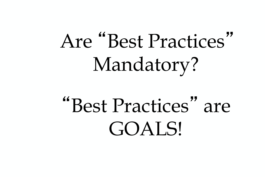# Are "Best Practices" Mandatory?

# "Best Practices" are GOALS!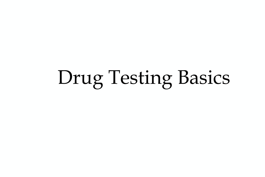# Drug Testing Basics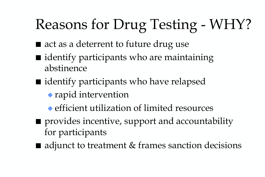## Reasons for Drug Testing - WHY?

- act as a deterrent to future drug use
- identify participants who are maintaining abstinence
- identify participants who have relapsed ◆ rapid intervention
	- ◆ efficient utilization of limited resources
- provides incentive, support and accountability for participants
- adjunct to treatment & frames sanction decisions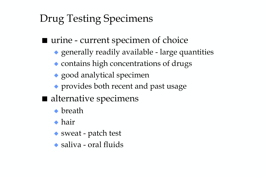#### Drug Testing Specimens

- urine current specimen of choice
	- ◆ generally readily available large quantities
	- ◆ contains high concentrations of drugs
	- ◆ good analytical specimen
	- ◆ provides both recent and past usage
- alternative specimens
	- ◆ breath
	- ◆ hair
	- ◆ sweat patch test
	- ◆ saliva oral fluids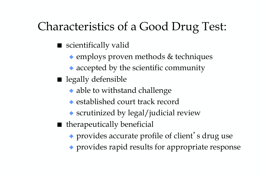#### Characteristics of a Good Drug Test:

- scientifically valid
	- ◆ employs proven methods & techniques
	- ◆ accepted by the scientific community
- legally defensible
	- ◆ able to withstand challenge
	- ◆ established court track record
	- ◆ scrutinized by legal/judicial review
- therapeutically beneficial
	- ◆ provides accurate profile of client's drug use
	- ◆ provides rapid results for appropriate response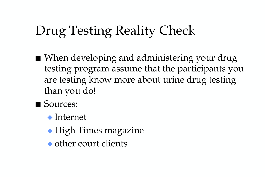### Drug Testing Reality Check

- When developing and administering your drug testing program assume that the participants you are testing know more about urine drug testing than you do!
- Sources:
	- ◆ Internet
	- ◆ High Times magazine
	- ◆ other court clients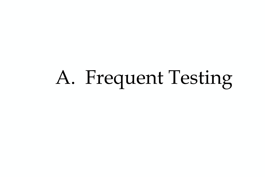# A. Frequent Testing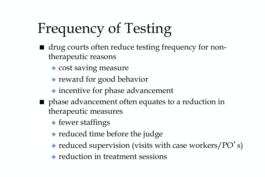## Frequency of Testing

- drug courts often reduce testing frequency for nontherapeutic reasons
	- ◆ cost saving measure
	- ◆ reward for good behavior
	- ◆ incentive for phase advancement
- phase advancement often equates to a reduction in therapeutic measures
	- ◆ fewer staffings
	- ◆ reduced time before the judge
	- ◆ reduced supervision (visits with case workers/PO's)
	- ◆ reduction in treatment sessions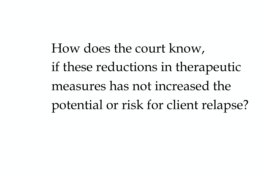How does the court know, if these reductions in therapeutic measures has not increased the potential or risk for client relapse?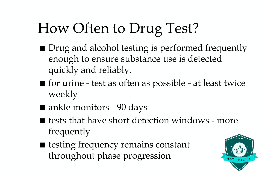## How Often to Drug Test?

- Drug and alcohol testing is performed frequently enough to ensure substance use is detected quickly and reliably.
- for urine test as often as possible at least twice weekly
- ankle monitors 90 days
- tests that have short detection windows more frequently
- testing frequency remains constant throughout phase progression

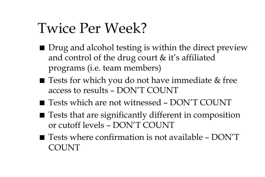### Twice Per Week?

- Drug and alcohol testing is within the direct preview and control of the drug court & it's affiliated programs (i.e. team members)
- Tests for which you do not have immediate & free access to results – DON'T COUNT
- Tests which are not witnessed DON'T COUNT
- Tests that are significantly different in composition or cutoff levels – DON'T COUNT
- Tests where confirmation is not available DON'T COUNT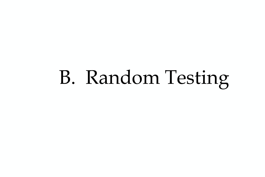# B. Random Testing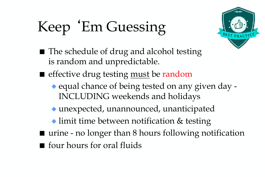# Keep 'Em Guessing



- The schedule of drug and alcohol testing is random and unpredictable.
- effective drug testing <u>must</u> be random
	- ◆ equal chance of being tested on any given day -INCLUDING weekends and holidays
	- ◆ unexpected, unannounced, unanticipated
	- ◆ limit time between notification & testing
- urine no longer than 8 hours following notification ■ four hours for oral fluids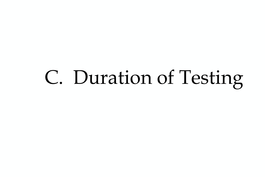# C. Duration of Testing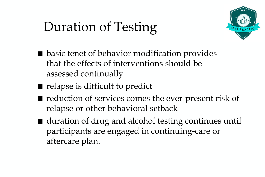### Duration of Testing



- basic tenet of behavior modification provides that the effects of interventions should be assessed continually
- relapse is difficult to predict
- reduction of services comes the ever-present risk of relapse or other behavioral setback
- duration of drug and alcohol testing continues until participants are engaged in continuing-care or aftercare plan.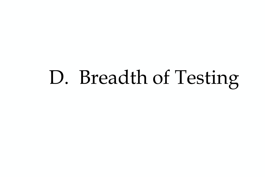# D. Breadth of Testing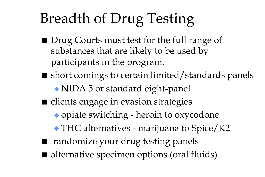## Breadth of Drug Testing

- Drug Courts must test for the full range of substances that are likely to be used by participants in the program.
- short comings to certain limited/standards panels ◆ NIDA 5 or standard eight-panel
- clients engage in evasion strategies
	- ◆ opiate switching heroin to oxycodone
	- ◆ THC alternatives marijuana to Spice/K2
- randomize your drug testing panels
- alternative specimen options (oral fluids)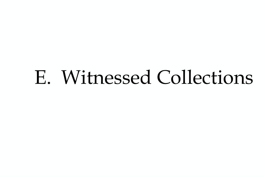# E. Witnessed Collections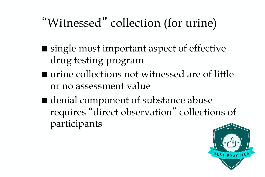#### "Witnessed" collection (for urine)

- single most important aspect of effective drug testing program
- urine collections not witnessed are of little or no assessment value
- denial component of substance abuse requires "direct observation" collections of participants

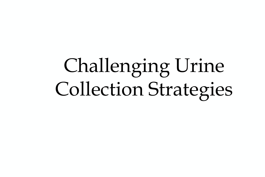# Challenging Urine Collection Strategies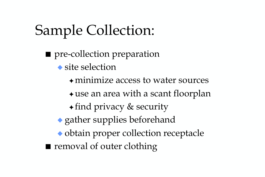## Sample Collection:

■ pre-collection preparation ◆ site selection ✦minimize access to water sources  $\triangle$  use an area with a scant floorplan ✦ find privacy & security ◆ gather supplies beforehand ◆ obtain proper collection receptacle ■ removal of outer clothing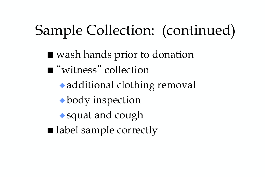## Sample Collection: (continued)

■ wash hands prior to donation ■ "witness" collection ◆additional clothing removal ◆body inspection ◆squat and cough ■ label sample correctly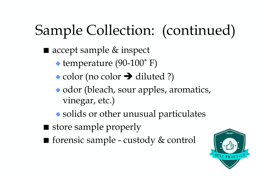## Sample Collection: (continued)

■ accept sample & inspect

◆ temperature (90-100˚ F)

- $\bullet$  color (no color  $\rightarrow$  diluted ?)
- ◆ odor (bleach, sour apples, aromatics, vinegar, etc.)
- ◆ solids or other unusual particulates
- store sample properly
- forensic sample custody & control

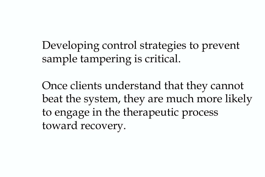Developing control strategies to prevent sample tampering is critical.

Once clients understand that they cannot beat the system, they are much more likely to engage in the therapeutic process toward recovery.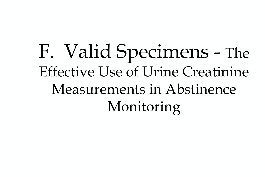# F. Valid Specimens - The Effective Use of Urine Creatinine Measurements in Abstinence Monitoring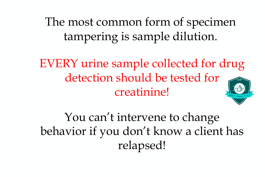The most common form of specimen tampering is sample dilution.

EVERY urine sample collected for drug detection should be tested for creatinine!

You can't intervene to change behavior if you don't know a client has relapsed!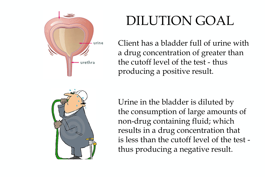

### DILUTION GOAL

Client has a bladder full of urine with a drug concentration of greater than the cutoff level of the test - thus producing a positive result.



Urine in the bladder is diluted by the consumption of large amounts of non-drug containing fluid; which results in a drug concentration that is less than the cutoff level of the test thus producing a negative result.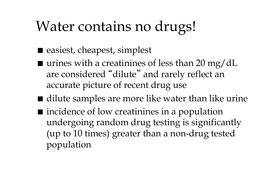## Water contains no drugs!

- easiest, cheapest, simplest
- $\blacksquare$  urines with a creatinines of less than 20 mg/dL are considered "dilute" and rarely reflect an accurate picture of recent drug use
- dilute samples are more like water than like urine ■ incidence of low creatinines in a population undergoing random drug testing is significantly (up to 10 times) greater than a non-drug tested population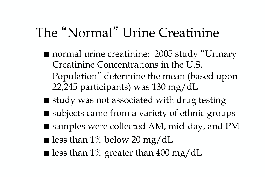#### The "Normal" Urine Creatinine

- normal urine creatinine: 2005 study "Urinary Creatinine Concentrations in the U.S. Population" determine the mean (based upon 22,245 participants) was 130 mg/dL
- study was not associated with drug testing
- subjects came from a variety of ethnic groups
- samples were collected AM, mid-day, and PM
- **less than 1% below 20 mg/dL**
- less than 1% greater than 400 mg/dL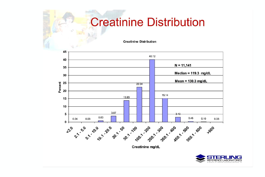#### **Creatinine Distribution**

**Creatinine Distribution** 



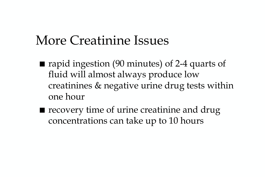#### More Creatinine Issues

- rapid ingestion (90 minutes) of 2-4 quarts of fluid will almost always produce low creatinines & negative urine drug tests within one hour
- recovery time of urine creatinine and drug concentrations can take up to 10 hours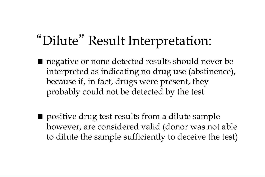#### "Dilute" Result Interpretation:

- negative or none detected results should never be interpreted as indicating no drug use (abstinence), because if, in fact, drugs were present, they probably could not be detected by the test
- positive drug test results from a dilute sample however, are considered valid (donor was not able to dilute the sample sufficiently to deceive the test)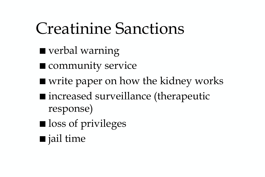## Creatinine Sanctions

- verbal warning
- community service
- write paper on how the kidney works
- increased surveillance (therapeutic response)
- loss of privileges
- jail time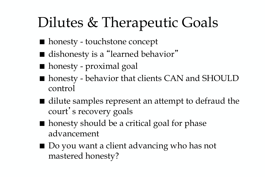## Dilutes & Therapeutic Goals

- honesty touchstone concept
- dishonesty is a "learned behavior"
- honesty proximal goal
- honesty behavior that clients CAN and SHOULD control
- dilute samples represent an attempt to defraud the court's recovery goals
- honesty should be a critical goal for phase advancement
- Do you want a client advancing who has not mastered honesty?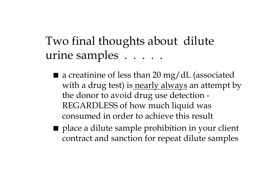Two final thoughts about dilute urine samples . . . . .

- $\blacksquare$  a creatinine of less than 20 mg/dL (associated with a drug test) is nearly always an attempt by the donor to avoid drug use detection - REGARDLESS of how much liquid was consumed in order to achieve this result
- place a dilute sample prohibition in your client contract and sanction for repeat dilute samples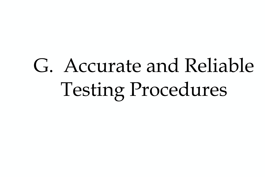# G. Accurate and Reliable Testing Procedures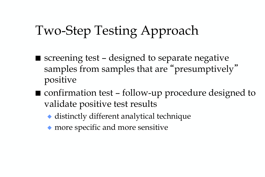### Two-Step Testing Approach

- $\blacksquare$  screening test designed to separate negative samples from samples that are "presumptively" positive
- confirmation test follow-up procedure designed to validate positive test results
	- ◆ distinctly different analytical technique
	- ◆ more specific and more sensitive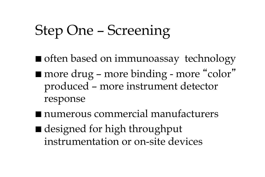## Step One – Screening

- often based on immunoassay technology ■ more drug – more binding - more "color" produced – more instrument detector response
- numerous commercial manufacturers
- designed for high throughput instrumentation or on-site devices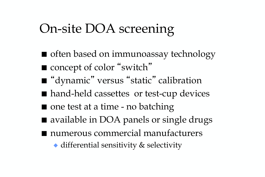### On-site DOA screening

■ often based on immunoassay technology ■ concept of color "switch" ■ "dynamic" versus "static" calibration ■ hand-held cassettes or test-cup devices ■ one test at a time - no batching ■ available in DOA panels or single drugs ■ numerous commercial manufacturers ◆ differential sensitivity & selectivity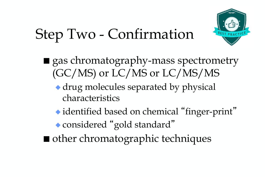## Step Two - Confirmation

- gas chromatography-mass spectrometry (GC/MS) or LC/MS or LC/MS/MS
	- ◆ drug molecules separated by physical characteristics
	- ◆ identified based on chemical "finger-print" ◆ considered "gold standard"
- other chromatographic techniques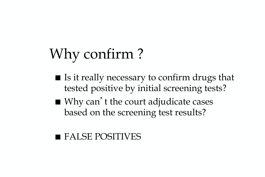## Why confirm ?

- Is it really necessary to confirm drugs that tested positive by initial screening tests?
- Why can't the court adjudicate cases based on the screening test results?

#### ■ FALSE POSITIVES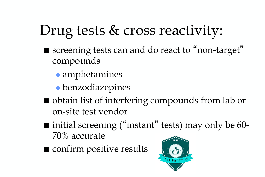## Drug tests & cross reactivity:

- screening tests can and do react to "non-target" compounds
	- ◆ amphetamines
	- ◆ benzodiazepines
- obtain list of interfering compounds from lab or on-site test vendor
- $\blacksquare$  initial screening ("instant" tests) may only be 60-70% accurate
- confirm positive results

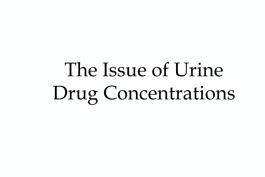# The Issue of Urine Drug Concentrations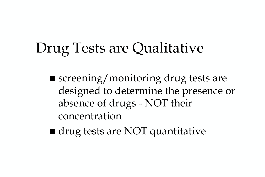### Drug Tests are Qualitative

- screening/monitoring drug tests are designed to determine the presence or absence of drugs - NOT their concentration
- drug tests are NOT quantitative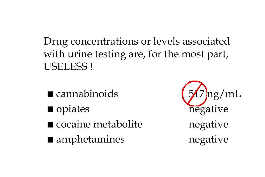Drug concentrations or levels associated with urine testing are, for the most part, USELESS !

■ cannabinoids (517 ng/mL ■ opiates negative ■ cocaine metabolite negative ■ amphetamines negative

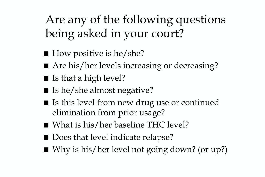Are any of the following questions being asked in your court?

- How positive is he/she?
- Are his/her levels increasing or decreasing?
- Is that a high level?
- Is he/she almost negative?
- Is this level from new drug use or continued elimination from prior usage?
- What is his/her baseline THC level?
- Does that level indicate relapse?
- Why is his/her level not going down? (or up?)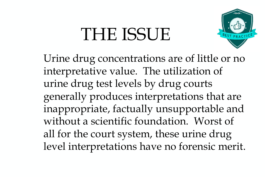# THE ISSUE



Urine drug concentrations are of little or no interpretative value. The utilization of urine drug test levels by drug courts generally produces interpretations that are inappropriate, factually unsupportable and without a scientific foundation. Worst of all for the court system, these urine drug level interpretations have no forensic merit.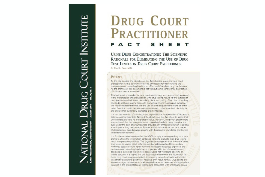#### **DRUG COURT PRACTITIONER FACT** S  $\mathbf{H}$ E

**URINE DRUG CONCENTRATIONS: THE SCIENTIFIC** RATIONALE FOR ELIMINATING THE USE OF DRUG **TEST LEVELS IN DRUG COURT PROCEEDINGS** 

By Paul L. Cary, M.S.

#### **PREFACE**

As the title implies, the objective of this fact sheet is to provide drug courtprofessionals with a scientifically based justification for discontinuing the interpretation of urine drug levels in an effort to define client drug use behavior. As the premise of this document is not without some controversy, clarification of its intent seems warranted.

This fact sheet is intended for drug court practitioners who are routinely engaged. in the interpretation and evaluation of urine drug testing results for the purpose of participant case adjudication, particularly client sanctioning. Given that most drug courts do not have routine access to biomedical or pharmacological expertise. this fact sheet recommends that the use of urine drug concentrations be eliminated from the court's decision-making process in order to protect client rights. and ensure that evidentiary standards are maintained.

It is not the intention of this document to prohibit the interpretation of laboratory data by qualified scientists. Nor is it the objective of this fact sheet to assert that urine drug levels have no interpretative value. However, drug court practitioners are cautioned that the interpretation of urine drug levels is highly complex and even under the best of circumstances provides only limited information regarding a participant's drug use patterns. Further, such interpretations can be a matter of disagreement even between experts with the requisite knowledge and training to render such opinions.

It is for these stated reasons that the NDCI strongly encourages drug court programs to utilize the information contained herein to evaluate their drug testing result interpretation practices. This organization recognizes that the use of urine drug levels to assess client behavior may be widespread and longstanding. However, because courts rarely have the necessary toxicology expertise, the routine use of urine drug levels by court personnel in formulating drug court decisions is a practice that in most cases would not withstand scientific or judicial scrutiny. It is hoped that this fact sheet will serve as the foundation for those drug court programs routinely interpreting urine drug levels to transition to a strictly qualitative (positive or negative only) result format. Drug courts are also encouraged to seek expert toxicology advice when necessary and appropriate to assist in the interpretation of testing data associated with challenging cases.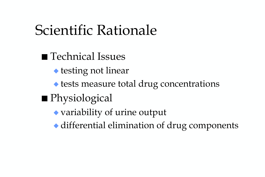### Scientific Rationale

■ Technical Issues ◆ testing not linear ◆ tests measure total drug concentrations ■ Physiological ◆ variability of urine output ◆ differential elimination of drug components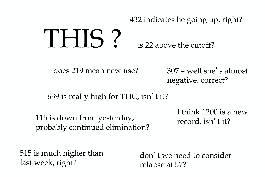#### THIS ? 432 indicates he going up, right? is 22 above the cutoff?

does 219 mean new use?

307 – well she's almost negative, correct?

639 is really high for THC, isn't it?

115 is down from yesterday, probably continued elimination?

I think 1200 is a new record, isn't it?

515 is much higher than last week, right?

don't we need to consider relapse at 57?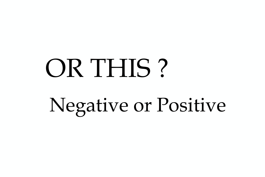# OR THIS ? Negative or Positive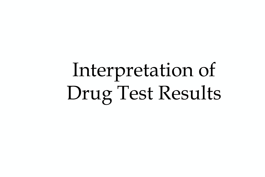# Interpretation of Drug Test Results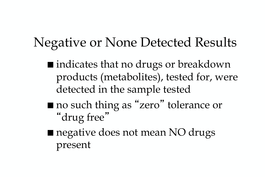#### Negative or None Detected Results

- indicates that no drugs or breakdown products (metabolites), tested for, were detected in the sample tested
- no such thing as "zero" tolerance or "drug free"
- negative does not mean NO drugs present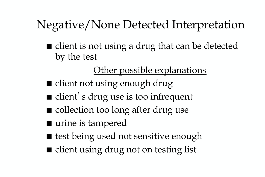#### Negative/None Detected Interpretation

■ client is not using a drug that can be detected by the test

#### Other possible explanations

- client not using enough drug
- client's drug use is too infrequent
- collection too long after drug use
- urine is tampered
- test being used not sensitive enough
- client using drug not on testing list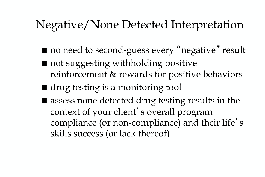#### Negative/None Detected Interpretation

- no need to second-guess every "negative" result
- <u>not</u> suggesting withholding positive reinforcement & rewards for positive behaviors
- drug testing is a monitoring tool
- assess none detected drug testing results in the context of your client's overall program compliance (or non-compliance) and their life' s skills success (or lack thereof)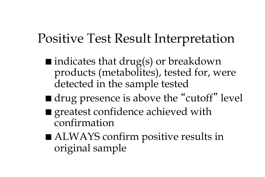#### Positive Test Result Interpretation

- $\blacksquare$  indicates that drug(s) or breakdown products (metabolites), tested for, were detected in the sample tested
- drug presence is above the "cutoff" level
- greatest confidence achieved with confirmation
- ALWAYS confirm positive results in original sample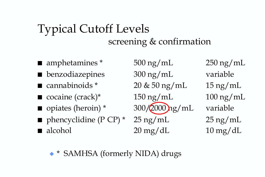#### Typical Cutoff Levels screening & confirmation

- amphetamines \* 500 ng/mL 250 ng/mL
- benzodiazepines 300 ng/mL variable
- cannabinoids \* 20 & 50 ng/mL 15 ng/mL
- cocaine (crack)\* 150 ng/mL 100 ng/mL
- opiates (heroin) \* 300/2000 ng/mL variable
- **phencyclidine (P CP)** \*  $25 \text{ ng/mL}$  25 ng/mL  $\blacksquare$  alcohol  $20 \text{ mg/dL}$   $10 \text{ mg/dL}$

◆ \* SAMHSA (formerly NIDA) drugs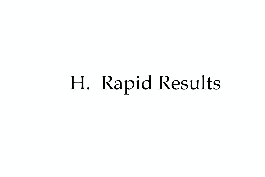# H. Rapid Results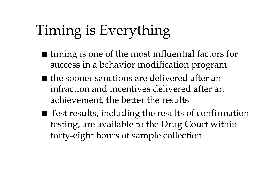## Timing is Everything

- timing is one of the most influential factors for success in a behavior modification program
- the sooner sanctions are delivered after an infraction and incentives delivered after an achievement, the better the results
- Test results, including the results of confirmation testing, are available to the Drug Court within forty-eight hours of sample collection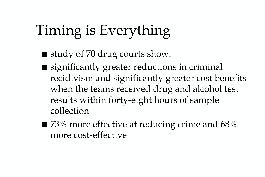## Timing is Everything

- study of 70 drug courts show:
- significantly greater reductions in criminal recidivism and significantly greater cost benefits when the teams received drug and alcohol test results within forty-eight hours of sample collection
- $\blacksquare$  73% more effective at reducing crime and 68% more cost-effective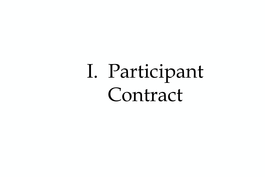# I. Participant Contract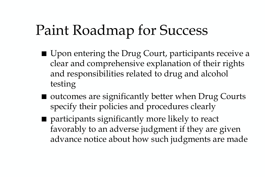# Paint Roadmap for Success

- Upon entering the Drug Court, participants receive a clear and comprehensive explanation of their rights and responsibilities related to drug and alcohol testing
- outcomes are significantly better when Drug Courts specify their policies and procedures clearly
- participants significantly more likely to react favorably to an adverse judgment if they are given advance notice about how such judgments are made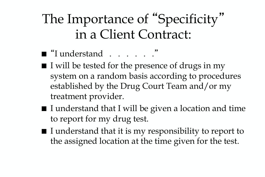#### The Importance of "Specificity" in a Client Contract:

- "I understand . . . . . ."
- I will be tested for the presence of drugs in my system on a random basis according to procedures established by the Drug Court Team and/or my treatment provider.
- I understand that I will be given a location and time to report for my drug test.
- I understand that it is my responsibility to report to the assigned location at the time given for the test.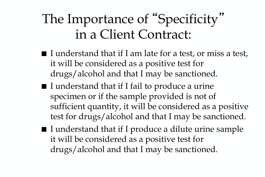### The Importance of "Specificity" in a Client Contract:

- $\blacksquare$  I understand that if I am late for a test, or miss a test, it will be considered as a positive test for drugs/alcohol and that I may be sanctioned.
- I understand that if I fail to produce a urine specimen or if the sample provided is not of sufficient quantity, it will be considered as a positive test for drugs/alcohol and that I may be sanctioned.
- I understand that if I produce a dilute urine sample it will be considered as a positive test for drugs/alcohol and that I may be sanctioned.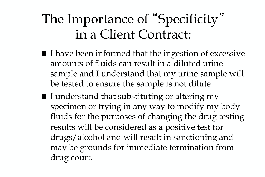### The Importance of "Specificity" in a Client Contract:

- I have been informed that the ingestion of excessive amounts of fluids can result in a diluted urine sample and I understand that my urine sample will be tested to ensure the sample is not dilute.
- I understand that substituting or altering my specimen or trying in any way to modify my body fluids for the purposes of changing the drug testing results will be considered as a positive test for drugs/alcohol and will result in sanctioning and may be grounds for immediate termination from drug court.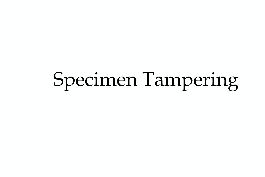# Specimen Tampering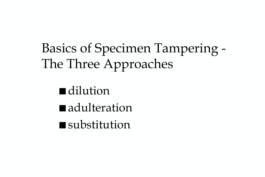Basics of Specimen Tampering - The Three Approaches

■ dilution ■ adulteration ■ substitution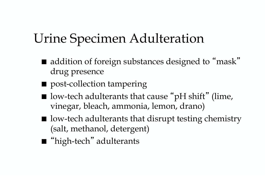### Urine Specimen Adulteration

- addition of foreign substances designed to "mask" drug presence
- post-collection tampering
- $\blacksquare$  low-tech adulterants that cause "pH shift" (lime, vinegar, bleach, ammonia, lemon, drano)
- $\blacksquare$  low-tech adulterants that disrupt testing chemistry (salt, methanol, detergent)
- "high-tech" adulterants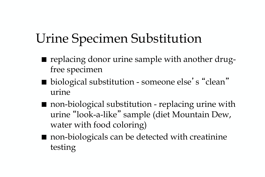#### Urine Specimen Substitution

- replacing donor urine sample with another drugfree specimen
- biological substitution someone else's "clean" urine
- non-biological substitution replacing urine with urine "look-a-like" sample (diet Mountain Dew, water with food coloring)
- non-biologicals can be detected with creatinine testing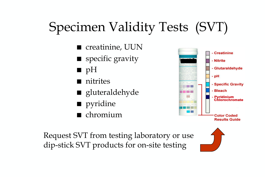## Specimen Validity Tests (SVT)

- creatinine, UUN
- specific gravity
- pH
- nitrites
- gluteraldehyde
- pyridine
- chromium



Request SVT from testing laboratory or use dip-stick SVT products for on-site testing

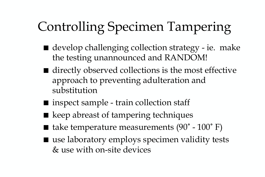## Controlling Specimen Tampering

- develop challenging collection strategy ie. make the testing unannounced and RANDOM!
- directly observed collections is the most effective approach to preventing adulteration and substitution
- $\blacksquare$  inspect sample train collection staff
- keep abreast of tampering techniques
- take temperature measurements (90° 100° F)
- use laboratory employs specimen validity tests & use with on-site devices